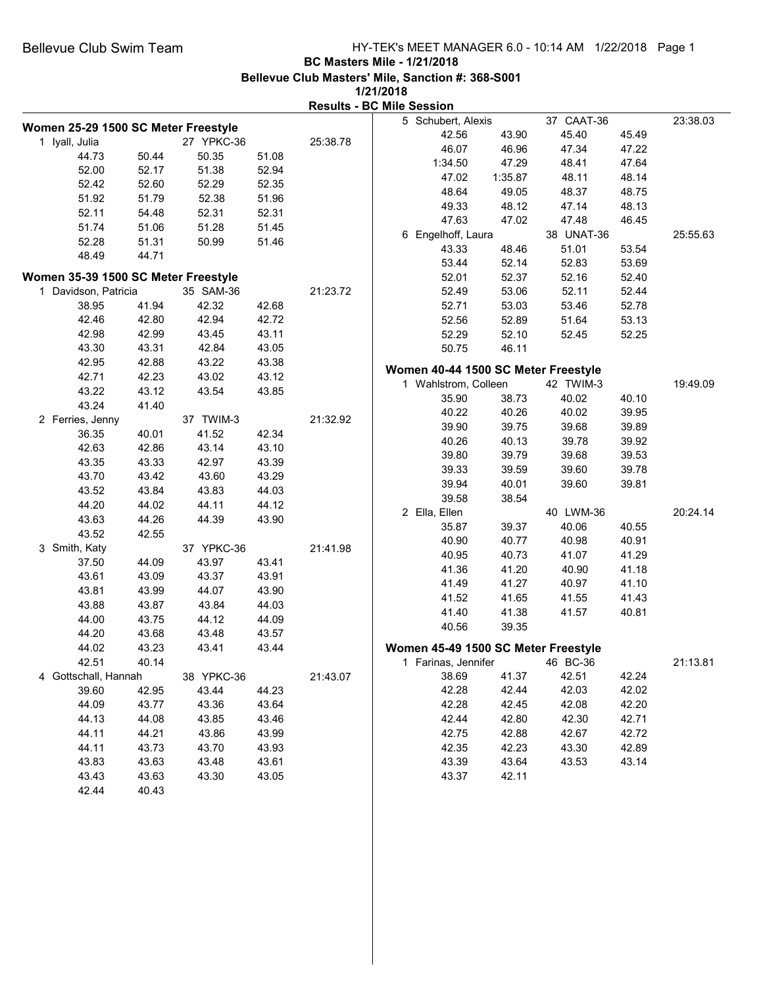# **BC Masters Mile - 1/21/2018**

**Bellevue Club Masters' Mile, Sanction #: 368-S001**

|                                     |                |                |                |          | <b>Results - BC Mile Session</b>    |         |            |       |          |
|-------------------------------------|----------------|----------------|----------------|----------|-------------------------------------|---------|------------|-------|----------|
|                                     |                |                |                |          | 5 Schubert, Alexis                  |         | 37 CAAT-36 |       | 23:38.03 |
| Women 25-29 1500 SC Meter Freestyle |                | 27 YPKC-36     |                | 25:38.78 | 42.56                               | 43.90   | 45.40      | 45.49 |          |
| 1 Iyall, Julia<br>44.73             | 50.44          | 50.35          | 51.08          |          | 46.07                               | 46.96   | 47.34      | 47.22 |          |
| 52.00                               | 52.17          | 51.38          | 52.94          |          | 1:34.50                             | 47.29   | 48.41      | 47.64 |          |
| 52.42                               | 52.60          | 52.29          | 52.35          |          | 47.02                               | 1:35.87 | 48.11      | 48.14 |          |
| 51.92                               | 51.79          | 52.38          | 51.96          |          | 48.64                               | 49.05   | 48.37      | 48.75 |          |
| 52.11                               | 54.48          | 52.31          | 52.31          |          | 49.33                               | 48.12   | 47.14      | 48.13 |          |
| 51.74                               | 51.06          | 51.28          | 51.45          |          | 47.63                               | 47.02   | 47.48      | 46.45 |          |
| 52.28                               | 51.31          | 50.99          | 51.46          |          | 6 Engelhoff, Laura                  |         | 38 UNAT-36 |       | 25:55.63 |
| 48.49                               | 44.71          |                |                |          | 43.33                               | 48.46   | 51.01      | 53.54 |          |
|                                     |                |                |                |          | 53.44                               | 52.14   | 52.83      | 53.69 |          |
| Women 35-39 1500 SC Meter Freestyle |                |                |                |          | 52.01                               | 52.37   | 52.16      | 52.40 |          |
| 1 Davidson, Patricia                |                | 35 SAM-36      |                | 21:23.72 | 52.49                               | 53.06   | 52.11      | 52.44 |          |
| 38.95                               | 41.94          | 42.32          | 42.68          |          | 52.71                               | 53.03   | 53.46      | 52.78 |          |
| 42.46                               | 42.80          | 42.94          | 42.72          |          | 52.56                               | 52.89   | 51.64      | 53.13 |          |
| 42.98                               | 42.99          | 43.45          | 43.11          |          | 52.29                               | 52.10   | 52.45      | 52.25 |          |
| 43.30                               | 43.31          | 42.84          | 43.05          |          | 50.75                               | 46.11   |            |       |          |
| 42.95                               | 42.88          | 43.22          | 43.38          |          | Women 40-44 1500 SC Meter Freestyle |         |            |       |          |
| 42.71                               | 42.23          | 43.02          | 43.12          |          | 1 Wahlstrom, Colleen                |         | 42 TWIM-3  |       | 19:49.09 |
| 43.22                               | 43.12          | 43.54          | 43.85          |          | 35.90                               | 38.73   | 40.02      | 40.10 |          |
| 43.24                               | 41.40          |                |                |          | 40.22                               | 40.26   | 40.02      | 39.95 |          |
| 2 Ferries, Jenny                    |                | 37 TWIM-3      |                | 21:32.92 | 39.90                               | 39.75   | 39.68      | 39.89 |          |
| 36.35                               | 40.01          | 41.52          | 42.34          |          | 40.26                               | 40.13   | 39.78      | 39.92 |          |
| 42.63                               | 42.86          | 43.14          | 43.10          |          | 39.80                               | 39.79   | 39.68      | 39.53 |          |
| 43.35                               | 43.33          | 42.97          | 43.39          |          | 39.33                               | 39.59   | 39.60      | 39.78 |          |
| 43.70                               | 43.42          | 43.60          | 43.29          |          | 39.94                               | 40.01   | 39.60      | 39.81 |          |
| 43.52<br>44.20                      | 43.84<br>44.02 | 43.83<br>44.11 | 44.03<br>44.12 |          | 39.58                               | 38.54   |            |       |          |
| 43.63                               | 44.26          | 44.39          | 43.90          |          | 2 Ella, Ellen                       |         | 40 LWM-36  |       | 20:24.14 |
|                                     |                |                |                |          | 35.87                               | 39.37   | 40.06      | 40.55 |          |
| 43.52<br>3 Smith, Katy              | 42.55          | 37 YPKC-36     |                | 21:41.98 | 40.90                               | 40.77   | 40.98      | 40.91 |          |
|                                     | 44.09          | 43.97          | 43.41          |          | 40.95                               | 40.73   | 41.07      | 41.29 |          |
| 37.50<br>43.61                      | 43.09          | 43.37          | 43.91          |          | 41.36                               | 41.20   | 40.90      | 41.18 |          |
| 43.81                               | 43.99          | 44.07          | 43.90          |          | 41.49                               | 41.27   | 40.97      | 41.10 |          |
| 43.88                               | 43.87          | 43.84          | 44.03          |          | 41.52                               | 41.65   | 41.55      | 41.43 |          |
| 44.00                               | 43.75          | 44.12          | 44.09          |          | 41.40                               | 41.38   | 41.57      | 40.81 |          |
| 44.20                               | 43.68          | 43.48          | 43.57          |          | 40.56                               | 39.35   |            |       |          |
| 44.02                               | 43.23          | 43.41          | 43.44          |          | Women 45-49 1500 SC Meter Freestyle |         |            |       |          |
| 42.51                               | 40.14          |                |                |          | 1 Farinas, Jennifer                 |         | 46 BC-36   |       | 21:13.81 |
| 4 Gottschall, Hannah                |                | 38 YPKC-36     |                | 21:43.07 | 38.69                               | 41.37   | 42.51      | 42.24 |          |
| 39.60                               | 42.95          | 43.44          | 44.23          |          | 42.28                               | 42.44   | 42.03      | 42.02 |          |
| 44.09                               | 43.77          | 43.36          | 43.64          |          | 42.28                               | 42.45   | 42.08      | 42.20 |          |
| 44.13                               | 44.08          | 43.85          | 43.46          |          | 42.44                               | 42.80   | 42.30      | 42.71 |          |
| 44.11                               | 44.21          | 43.86          | 43.99          |          | 42.75                               | 42.88   | 42.67      | 42.72 |          |
| 44.11                               | 43.73          | 43.70          | 43.93          |          | 42.35                               | 42.23   | 43.30      | 42.89 |          |
| 43.83                               | 43.63          | 43.48          | 43.61          |          | 43.39                               | 43.64   | 43.53      | 43.14 |          |
| 43.43                               | 43.63          | 43.30          | 43.05          |          | 43.37                               | 42.11   |            |       |          |
| 42.44                               | 40.43          |                |                |          |                                     |         |            |       |          |
|                                     |                |                |                |          |                                     |         |            |       |          |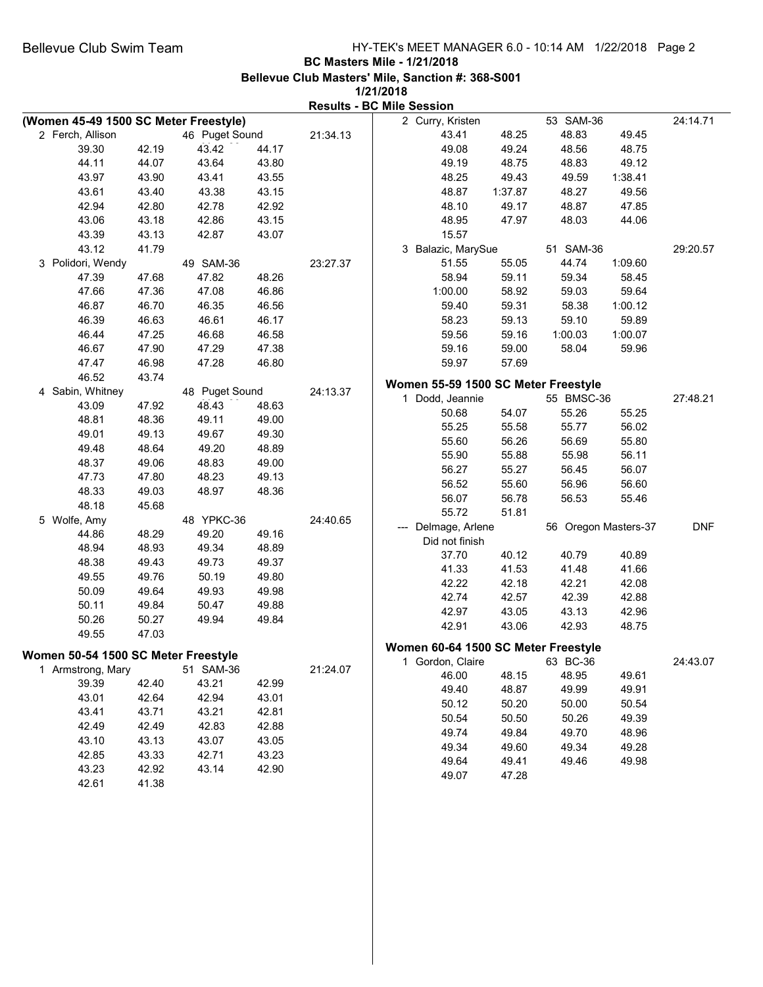|                                       |       |                |       | <b>Results - BC Mile Session</b> |                                     |         |                      |         |            |
|---------------------------------------|-------|----------------|-------|----------------------------------|-------------------------------------|---------|----------------------|---------|------------|
| (Women 45-49 1500 SC Meter Freestyle) |       |                |       |                                  | 2 Curry, Kristen                    |         | 53 SAM-36            |         | 24:14.71   |
| 2 Ferch, Allison                      |       | 46 Puget Sound |       | 21:34.13                         | 43.41                               | 48.25   | 48.83                | 49.45   |            |
| 39.30                                 | 42.19 | 43.42          | 44.17 |                                  | 49.08                               | 49.24   | 48.56                | 48.75   |            |
| 44.11                                 | 44.07 | 43.64          | 43.80 |                                  | 49.19                               | 48.75   | 48.83                | 49.12   |            |
| 43.97                                 | 43.90 | 43.41          | 43.55 |                                  | 48.25                               | 49.43   | 49.59                | 1:38.41 |            |
| 43.61                                 | 43.40 | 43.38          | 43.15 |                                  | 48.87                               | 1:37.87 | 48.27                | 49.56   |            |
| 42.94                                 | 42.80 | 42.78          | 42.92 |                                  | 48.10                               | 49.17   | 48.87                | 47.85   |            |
| 43.06                                 | 43.18 | 42.86          | 43.15 |                                  | 48.95                               | 47.97   | 48.03                | 44.06   |            |
| 43.39                                 | 43.13 | 42.87          | 43.07 |                                  | 15.57                               |         |                      |         |            |
| 43.12                                 | 41.79 |                |       |                                  | 3 Balazic, MarySue                  |         | 51 SAM-36            |         | 29:20.57   |
| 3 Polidori, Wendy                     |       | 49 SAM-36      |       | 23:27.37                         | 51.55                               | 55.05   | 44.74                | 1:09.60 |            |
| 47.39                                 | 47.68 | 47.82          | 48.26 |                                  | 58.94                               | 59.11   | 59.34                | 58.45   |            |
| 47.66                                 | 47.36 | 47.08          | 46.86 |                                  | 1:00.00                             | 58.92   | 59.03                | 59.64   |            |
| 46.87                                 | 46.70 | 46.35          | 46.56 |                                  | 59.40                               | 59.31   | 58.38                | 1:00.12 |            |
| 46.39                                 | 46.63 | 46.61          | 46.17 |                                  | 58.23                               | 59.13   | 59.10                | 59.89   |            |
| 46.44                                 | 47.25 | 46.68          | 46.58 |                                  | 59.56                               | 59.16   | 1:00.03              | 1:00.07 |            |
| 46.67                                 | 47.90 | 47.29          | 47.38 |                                  | 59.16                               | 59.00   | 58.04                | 59.96   |            |
| 47.47                                 | 46.98 | 47.28          | 46.80 |                                  | 59.97                               | 57.69   |                      |         |            |
| 46.52                                 | 43.74 |                |       |                                  |                                     |         |                      |         |            |
| 4 Sabin, Whitney                      |       | 48 Puget Sound |       | 24:13.37                         | Women 55-59 1500 SC Meter Freestyle |         |                      |         |            |
| 43.09                                 | 47.92 | 48.43          | 48.63 |                                  | 1 Dodd, Jeannie                     |         | 55 BMSC-36           |         | 27:48.21   |
| 48.81                                 | 48.36 | 49.11          | 49.00 |                                  | 50.68                               | 54.07   | 55.26                | 55.25   |            |
| 49.01                                 | 49.13 | 49.67          | 49.30 |                                  | 55.25                               | 55.58   | 55.77                | 56.02   |            |
| 49.48                                 | 48.64 | 49.20          | 48.89 |                                  | 55.60                               | 56.26   | 56.69                | 55.80   |            |
| 48.37                                 | 49.06 | 48.83          | 49.00 |                                  | 55.90                               | 55.88   | 55.98                | 56.11   |            |
| 47.73                                 | 47.80 | 48.23          | 49.13 |                                  | 56.27                               | 55.27   | 56.45                | 56.07   |            |
| 48.33                                 | 49.03 | 48.97          | 48.36 |                                  | 56.52                               | 55.60   | 56.96                | 56.60   |            |
| 48.18                                 | 45.68 |                |       |                                  | 56.07                               | 56.78   | 56.53                | 55.46   |            |
| 5 Wolfe, Amy                          |       | 48 YPKC-36     |       | 24:40.65                         | 55.72                               | 51.81   |                      |         |            |
| 44.86                                 | 48.29 | 49.20          | 49.16 |                                  | Delmage, Arlene                     |         | 56 Oregon Masters-37 |         | <b>DNF</b> |
| 48.94                                 | 48.93 | 49.34          | 48.89 |                                  | Did not finish                      | 40.12   | 40.79                | 40.89   |            |
| 48.38                                 | 49.43 | 49.73          | 49.37 |                                  | 37.70<br>41.33                      | 41.53   | 41.48                | 41.66   |            |
| 49.55                                 | 49.76 | 50.19          | 49.80 |                                  | 42.22                               | 42.18   | 42.21                | 42.08   |            |
| 50.09                                 | 49.64 | 49.93          | 49.98 |                                  | 42.74                               | 42.57   | 42.39                | 42.88   |            |
| 50.11                                 | 49.84 | 50.47          | 49.88 |                                  | 42.97                               | 43.05   | 43.13                | 42.96   |            |
| 50.26                                 | 50.27 | 49.94          | 49.84 |                                  | 42.91                               | 43.06   | 42.93                | 48.75   |            |
| 49.55                                 | 47.03 |                |       |                                  |                                     |         |                      |         |            |
|                                       |       |                |       |                                  | Women 60-64 1500 SC Meter Freestyle |         |                      |         |            |
| Women 50-54 1500 SC Meter Freestyle   |       | 51 SAM-36      |       |                                  | 1 Gordon, Claire                    |         | 63 BC-36             |         | 24:43.07   |
| 1 Armstrong, Mary<br>39.39            | 42.40 | 43.21          | 42.99 | 21:24.07                         | 46.00                               | 48.15   | 48.95                | 49.61   |            |
| 43.01                                 | 42.64 | 42.94          | 43.01 |                                  | 49.40                               | 48.87   | 49.99                | 49.91   |            |
| 43.41                                 |       |                | 42.81 |                                  | 50.12                               | 50.20   | 50.00                | 50.54   |            |
|                                       | 43.71 | 43.21          |       |                                  | 50.54                               | 50.50   | 50.26                | 49.39   |            |
| 42.49                                 | 42.49 | 42.83          | 42.88 |                                  | 49.74                               | 49.84   | 49.70                | 48.96   |            |
| 43.10                                 | 43.13 | 43.07          | 43.05 |                                  | 49.34                               | 49.60   | 49.34                | 49.28   |            |
| 42.85                                 | 43.33 | 42.71          | 43.23 |                                  | 49.64                               | 49.41   | 49.46                | 49.98   |            |
| 43.23                                 | 42.92 | 43.14          | 42.90 |                                  | 49.07                               | 47.28   |                      |         |            |
| 42.61                                 | 41.38 |                |       |                                  |                                     |         |                      |         |            |
|                                       |       |                |       |                                  |                                     |         |                      |         |            |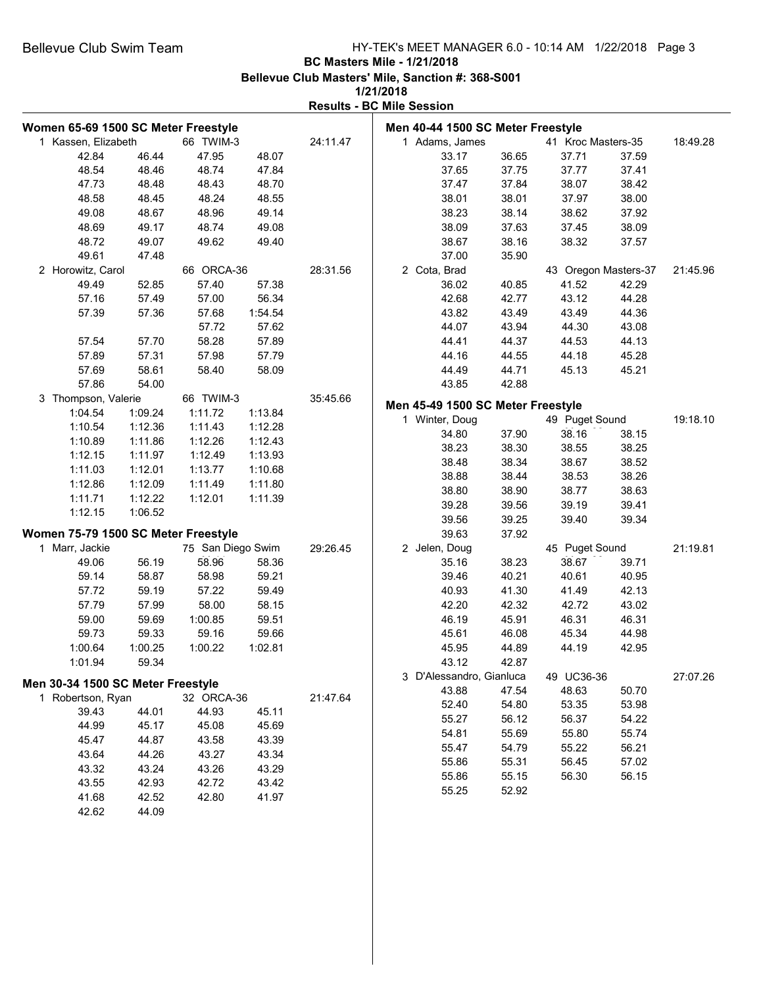**1/21/2018**

| Women 65-69 1500 SC Meter Freestyle |         |                   |         |          | Men 40-44 1500 SC Meter Freestyle |       |                      |       |          |
|-------------------------------------|---------|-------------------|---------|----------|-----------------------------------|-------|----------------------|-------|----------|
| 1 Kassen, Elizabeth                 |         | 66 TWIM-3         |         | 24:11.47 | 1 Adams, James                    |       | 41 Kroc Masters-35   |       | 18:49.28 |
| 42.84                               | 46.44   | 47.95             | 48.07   |          | 33.17                             | 36.65 | 37.71                | 37.59 |          |
| 48.54                               | 48.46   | 48.74             | 47.84   |          | 37.65                             | 37.75 | 37.77                | 37.41 |          |
| 47.73                               | 48.48   | 48.43             | 48.70   |          | 37.47                             | 37.84 | 38.07                | 38.42 |          |
| 48.58                               | 48.45   | 48.24             | 48.55   |          | 38.01                             | 38.01 | 37.97                | 38.00 |          |
| 49.08                               | 48.67   | 48.96             | 49.14   |          | 38.23                             | 38.14 | 38.62                | 37.92 |          |
| 48.69                               | 49.17   | 48.74             | 49.08   |          | 38.09                             | 37.63 | 37.45                | 38.09 |          |
| 48.72                               | 49.07   | 49.62             | 49.40   |          | 38.67                             | 38.16 | 38.32                | 37.57 |          |
| 49.61                               | 47.48   |                   |         |          | 37.00                             | 35.90 |                      |       |          |
| 2 Horowitz, Carol                   |         | 66 ORCA-36        |         | 28:31.56 | 2 Cota, Brad                      |       | 43 Oregon Masters-37 |       | 21:45.96 |
| 49.49                               | 52.85   | 57.40             | 57.38   |          | 36.02                             | 40.85 | 41.52                | 42.29 |          |
| 57.16                               | 57.49   | 57.00             | 56.34   |          | 42.68                             | 42.77 | 43.12                | 44.28 |          |
| 57.39                               | 57.36   | 57.68             | 1:54.54 |          | 43.82                             | 43.49 | 43.49                | 44.36 |          |
|                                     |         | 57.72             | 57.62   |          | 44.07                             | 43.94 | 44.30                | 43.08 |          |
| 57.54                               | 57.70   | 58.28             | 57.89   |          | 44.41                             | 44.37 | 44.53                | 44.13 |          |
| 57.89                               | 57.31   | 57.98             | 57.79   |          | 44.16                             | 44.55 | 44.18                | 45.28 |          |
| 57.69                               | 58.61   | 58.40             | 58.09   |          | 44.49                             | 44.71 | 45.13                | 45.21 |          |
| 57.86                               | 54.00   |                   |         |          | 43.85                             | 42.88 |                      |       |          |
| 3 Thompson, Valerie                 |         | 66 TWIM-3         |         | 35:45.66 |                                   |       |                      |       |          |
| 1:04.54                             | 1:09.24 | 1:11.72           | 1:13.84 |          | Men 45-49 1500 SC Meter Freestyle |       |                      |       |          |
| 1:10.54                             | 1:12.36 | 1:11.43           | 1:12.28 |          | 1 Winter, Doug                    |       | 49 Puget Sound       |       | 19:18.10 |
| 1:10.89                             | 1:11.86 | 1:12.26           | 1:12.43 |          | 34.80                             | 37.90 | 38.16                | 38.15 |          |
| 1:12.15                             | 1:11.97 | 1:12.49           | 1:13.93 |          | 38.23                             | 38.30 | 38.55                | 38.25 |          |
| 1:11.03                             | 1:12.01 | 1:13.77           | 1:10.68 |          | 38.48                             | 38.34 | 38.67                | 38.52 |          |
| 1:12.86                             | 1:12.09 | 1:11.49           | 1:11.80 |          | 38.88                             | 38.44 | 38.53                | 38.26 |          |
| 1:11.71                             | 1:12.22 | 1:12.01           | 1:11.39 |          | 38.80                             | 38.90 | 38.77                | 38.63 |          |
| 1:12.15                             | 1:06.52 |                   |         |          | 39.28                             | 39.56 | 39.19                | 39.41 |          |
|                                     |         |                   |         |          | 39.56                             | 39.25 | 39.40                | 39.34 |          |
| Women 75-79 1500 SC Meter Freestyle |         |                   |         |          | 39.63                             | 37.92 |                      |       |          |
| 1 Marr, Jackie                      |         | 75 San Diego Swim |         | 29:26.45 | 2 Jelen, Doug                     |       | 45 Puget Sound       |       | 21:19.81 |
| 49.06                               | 56.19   | 58.96             | 58.36   |          | 35.16                             | 38.23 | 38.67                | 39.71 |          |
| 59.14                               | 58.87   | 58.98             | 59.21   |          | 39.46                             | 40.21 | 40.61                | 40.95 |          |
| 57.72                               | 59.19   | 57.22             | 59.49   |          | 40.93                             | 41.30 | 41.49                | 42.13 |          |
| 57.79                               | 57.99   | 58.00             | 58.15   |          | 42.20                             | 42.32 | 42.72                | 43.02 |          |
| 59.00                               | 59.69   | 1:00.85           | 59.51   |          | 46.19                             | 45.91 | 46.31                | 46.31 |          |
| 59.73                               | 59.33   | 59.16             | 59.66   |          | 45.61                             | 46.08 | 45.34                | 44.98 |          |
| 1:00.64                             | 1:00.25 | 1:00.22           | 1:02.81 |          | 45.95                             | 44.89 | 44.19                | 42.95 |          |
| 1:01.94                             | 59.34   |                   |         |          | 43.12                             | 42.87 |                      |       |          |
|                                     |         |                   |         |          | 3 D'Alessandro, Gianluca          |       | 49 UC36-36           |       | 27:07.26 |
| Men 30-34 1500 SC Meter Freestyle   |         |                   |         |          | 43.88                             | 47.54 | 48.63                | 50.70 |          |
| 1 Robertson, Ryan                   |         | 32 ORCA-36        |         | 21:47.64 | 52.40                             | 54.80 | 53.35                | 53.98 |          |
| 39.43                               | 44.01   | 44.93             | 45.11   |          | 55.27                             | 56.12 | 56.37                | 54.22 |          |
| 44.99                               | 45.17   | 45.08             | 45.69   |          | 54.81                             | 55.69 | 55.80                | 55.74 |          |
| 45.47                               | 44.87   | 43.58             | 43.39   |          | 55.47                             | 54.79 | 55.22                | 56.21 |          |
| 43.64                               | 44.26   | 43.27             | 43.34   |          | 55.86                             | 55.31 | 56.45                | 57.02 |          |
| 43.32                               | 43.24   | 43.26             | 43.29   |          | 55.86                             | 55.15 | 56.30                | 56.15 |          |
| 43.55                               | 42.93   | 42.72             | 43.42   |          | 55.25                             | 52.92 |                      |       |          |
| 41.68                               | 42.52   | 42.80             | 41.97   |          |                                   |       |                      |       |          |
| 42.62                               | 44.09   |                   |         |          |                                   |       |                      |       |          |
|                                     |         |                   |         |          |                                   |       |                      |       |          |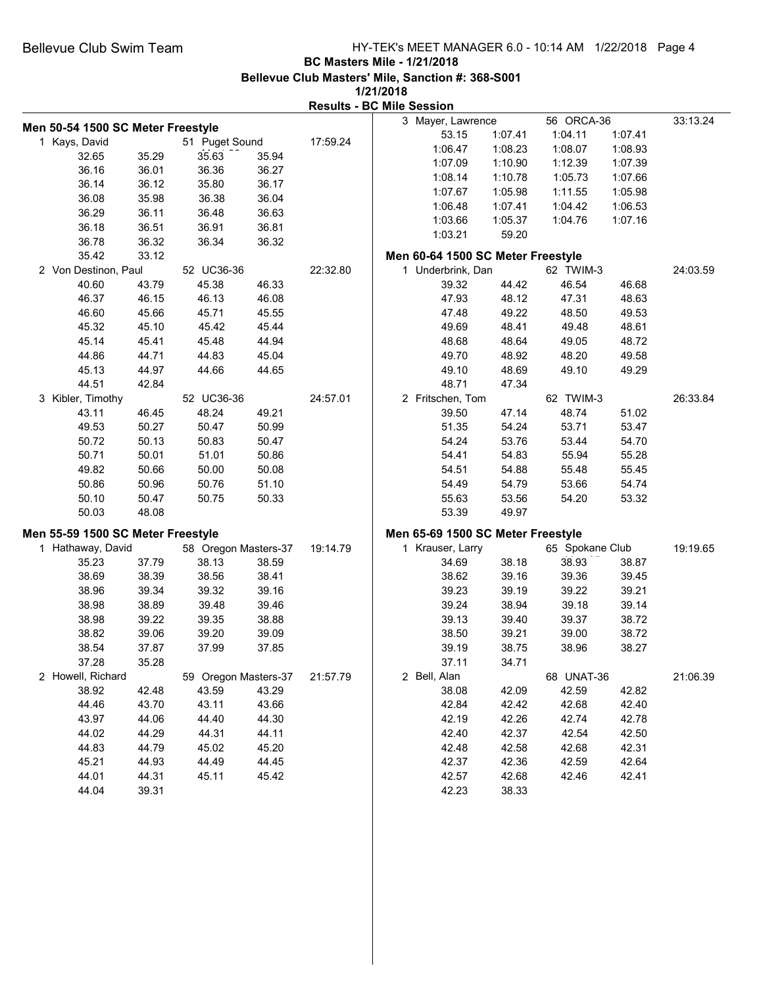|                                   |       |                      |       |          | <b>Results - BC Mile Session</b>  |         |                 |         |          |
|-----------------------------------|-------|----------------------|-------|----------|-----------------------------------|---------|-----------------|---------|----------|
|                                   |       |                      |       |          | 3 Mayer, Lawrence                 |         | 56 ORCA-36      |         | 33:13.24 |
| Men 50-54 1500 SC Meter Freestyle |       |                      |       |          | 53.15                             | 1:07.41 | 1:04.11         | 1:07.41 |          |
| 1 Kays, David                     |       | 51 Puget Sound       |       | 17:59.24 | 1:06.47                           | 1:08.23 | 1:08.07         | 1:08.93 |          |
| 32.65                             | 35.29 | 35.63                | 35.94 |          | 1:07.09                           | 1:10.90 | 1:12.39         | 1:07.39 |          |
| 36.16                             | 36.01 | 36.36                | 36.27 |          | 1:08.14                           | 1:10.78 | 1:05.73         | 1:07.66 |          |
| 36.14                             | 36.12 | 35.80                | 36.17 |          | 1:07.67                           | 1:05.98 | 1:11.55         | 1:05.98 |          |
| 36.08                             | 35.98 | 36.38                | 36.04 |          | 1:06.48                           | 1:07.41 | 1:04.42         | 1:06.53 |          |
| 36.29                             | 36.11 | 36.48                | 36.63 |          | 1:03.66                           | 1:05.37 | 1:04.76         | 1:07.16 |          |
| 36.18                             | 36.51 | 36.91                | 36.81 |          | 1:03.21                           | 59.20   |                 |         |          |
| 36.78                             | 36.32 | 36.34                | 36.32 |          |                                   |         |                 |         |          |
| 35.42                             | 33.12 |                      |       |          | Men 60-64 1500 SC Meter Freestyle |         |                 |         |          |
| 2 Von Destinon, Paul              |       | 52 UC36-36           |       | 22:32.80 | 1 Underbrink, Dan                 |         | 62 TWIM-3       |         | 24:03.59 |
| 40.60                             | 43.79 | 45.38                | 46.33 |          | 39.32                             | 44.42   | 46.54           | 46.68   |          |
| 46.37                             | 46.15 | 46.13                | 46.08 |          | 47.93                             | 48.12   | 47.31           | 48.63   |          |
| 46.60                             | 45.66 | 45.71                | 45.55 |          | 47.48                             | 49.22   | 48.50           | 49.53   |          |
| 45.32                             | 45.10 | 45.42                | 45.44 |          | 49.69                             | 48.41   | 49.48           | 48.61   |          |
| 45.14                             | 45.41 | 45.48                | 44.94 |          | 48.68                             | 48.64   | 49.05           | 48.72   |          |
| 44.86                             | 44.71 | 44.83                | 45.04 |          | 49.70                             | 48.92   | 48.20           | 49.58   |          |
| 45.13                             | 44.97 | 44.66                | 44.65 |          | 49.10                             | 48.69   | 49.10           | 49.29   |          |
| 44.51                             | 42.84 |                      |       |          | 48.71                             | 47.34   |                 |         |          |
| 3 Kibler, Timothy                 |       | 52 UC36-36           |       | 24:57.01 | 2 Fritschen, Tom                  |         | 62 TWIM-3       |         | 26:33.84 |
| 43.11                             | 46.45 | 48.24                | 49.21 |          | 39.50                             | 47.14   | 48.74           | 51.02   |          |
| 49.53                             | 50.27 | 50.47                | 50.99 |          | 51.35                             | 54.24   | 53.71           | 53.47   |          |
| 50.72                             | 50.13 | 50.83                | 50.47 |          | 54.24                             | 53.76   | 53.44           | 54.70   |          |
| 50.71                             | 50.01 | 51.01                | 50.86 |          | 54.41                             | 54.83   | 55.94           | 55.28   |          |
| 49.82                             | 50.66 | 50.00                | 50.08 |          | 54.51                             | 54.88   | 55.48           | 55.45   |          |
| 50.86                             | 50.96 | 50.76                | 51.10 |          | 54.49                             | 54.79   | 53.66           | 54.74   |          |
| 50.10                             | 50.47 | 50.75                | 50.33 |          | 55.63                             | 53.56   | 54.20           | 53.32   |          |
| 50.03                             | 48.08 |                      |       |          | 53.39                             | 49.97   |                 |         |          |
|                                   |       |                      |       |          |                                   |         |                 |         |          |
| Men 55-59 1500 SC Meter Freestyle |       |                      |       |          | Men 65-69 1500 SC Meter Freestyle |         |                 |         |          |
| 1 Hathaway, David                 |       | 58 Oregon Masters-37 |       | 19:14.79 | 1 Krauser, Larry                  |         | 65 Spokane Club |         | 19:19.65 |
| 35.23                             | 37.79 | 38.13                | 38.59 |          | 34.69                             | 38.18   | 38.93           | 38.87   |          |
| 38.69                             | 38.39 | 38.56                | 38.41 |          | 38.62                             | 39.16   | 39.36           | 39.45   |          |
| 38.96                             | 39.34 | 39.32                | 39.16 |          | 39.23                             | 39.19   | 39.22           | 39.21   |          |
| 38.98                             | 38.89 | 39.48                | 39.46 |          | 39.24                             | 38.94   | 39.18           | 39.14   |          |
| 38.98                             | 39.22 | 39.35                | 38.88 |          | 39.13                             | 39.40   | 39.37           | 38.72   |          |
| 38.82                             | 39.06 | 39.20                | 39.09 |          | 38.50                             | 39.21   | 39.00           | 38.72   |          |
| 38.54                             | 37.87 | 37.99                | 37.85 |          | 39.19                             | 38.75   | 38.96           | 38.27   |          |
| 37.28                             | 35.28 |                      |       |          | 37.11                             | 34.71   |                 |         |          |
| 2 Howell, Richard                 |       | 59 Oregon Masters-37 |       | 21:57.79 | 2 Bell, Alan                      |         | 68 UNAT-36      |         | 21:06.39 |
| 38.92                             | 42.48 | 43.59                | 43.29 |          | 38.08                             | 42.09   | 42.59           | 42.82   |          |
| 44.46                             | 43.70 | 43.11                | 43.66 |          | 42.84                             | 42.42   | 42.68           | 42.40   |          |
| 43.97                             | 44.06 | 44.40                | 44.30 |          | 42.19                             | 42.26   | 42.74           | 42.78   |          |
| 44.02                             | 44.29 | 44.31                | 44.11 |          | 42.40                             | 42.37   | 42.54           | 42.50   |          |
| 44.83                             | 44.79 | 45.02                | 45.20 |          | 42.48                             | 42.58   | 42.68           | 42.31   |          |
| 45.21                             | 44.93 | 44.49                | 44.45 |          | 42.37                             | 42.36   | 42.59           | 42.64   |          |
| 44.01                             | 44.31 | 45.11                | 45.42 |          | 42.57                             | 42.68   | 42.46           | 42.41   |          |
| 44.04                             | 39.31 |                      |       |          | 42.23                             | 38.33   |                 |         |          |
|                                   |       |                      |       |          |                                   |         |                 |         |          |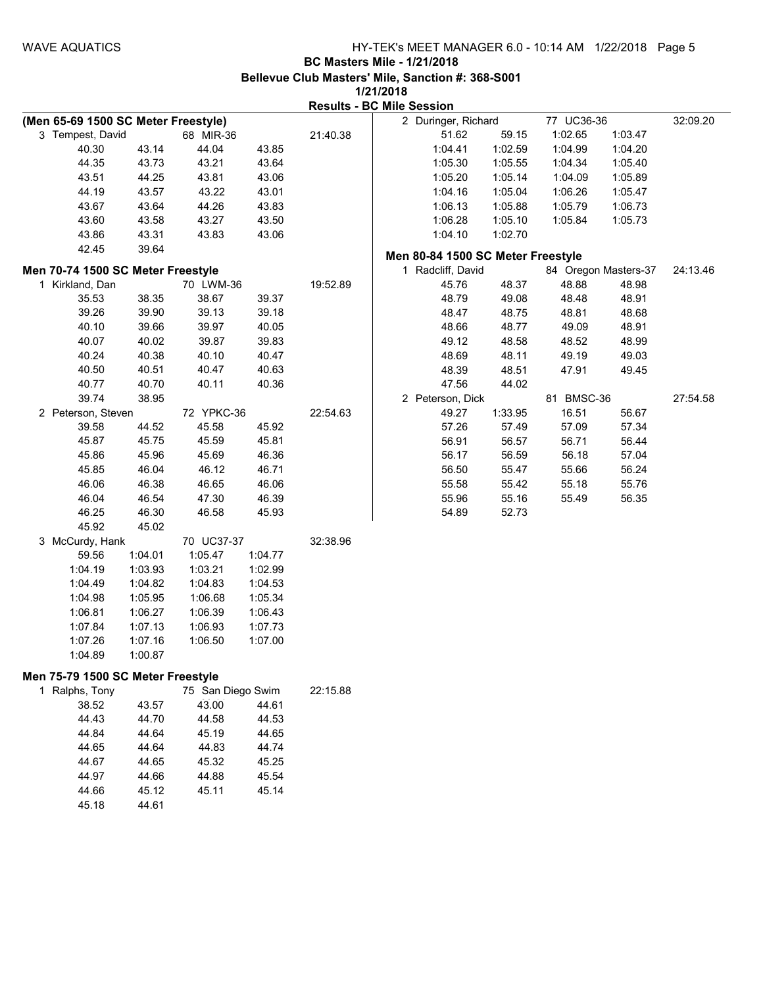|  | 172 1720 1 0 |                                  |
|--|--------------|----------------------------------|
|  |              | <b>Results - BC Mile Session</b> |

| (Men 65-69 1500 SC Meter Freestyle)                 |         |                   |         |          | 2 Duringer, Richard               |         | 77 UC36-36 |                      | 32:09.20 |
|-----------------------------------------------------|---------|-------------------|---------|----------|-----------------------------------|---------|------------|----------------------|----------|
| 3 Tempest, David                                    |         | 68 MIR-36         |         | 21:40.38 | 51.62                             | 59.15   | 1:02.65    | 1:03.47              |          |
| 40.30                                               | 43.14   | 44.04             | 43.85   |          | 1:04.41                           | 1:02.59 | 1:04.99    | 1:04.20              |          |
| 44.35                                               | 43.73   | 43.21             | 43.64   |          | 1:05.30                           | 1:05.55 | 1:04.34    | 1:05.40              |          |
| 43.51                                               | 44.25   | 43.81             | 43.06   |          | 1:05.20                           | 1:05.14 | 1:04.09    | 1:05.89              |          |
| 44.19                                               | 43.57   | 43.22             | 43.01   |          | 1:04.16                           | 1:05.04 | 1:06.26    | 1:05.47              |          |
| 43.67                                               | 43.64   | 44.26             | 43.83   |          | 1:06.13                           | 1:05.88 | 1:05.79    | 1:06.73              |          |
| 43.60                                               | 43.58   | 43.27             | 43.50   |          | 1:06.28                           | 1:05.10 | 1:05.84    | 1:05.73              |          |
| 43.86                                               | 43.31   | 43.83             | 43.06   |          | 1:04.10                           | 1:02.70 |            |                      |          |
| 42.45                                               | 39.64   |                   |         |          | Men 80-84 1500 SC Meter Freestyle |         |            |                      |          |
| Men 70-74 1500 SC Meter Freestyle                   |         |                   |         |          | 1 Radcliff, David                 |         |            | 84 Oregon Masters-37 | 24:13.46 |
| 1 Kirkland, Dan                                     |         | 70 LWM-36         |         | 19:52.89 | 45.76                             | 48.37   | 48.88      | 48.98                |          |
| 35.53                                               | 38.35   | 38.67             | 39.37   |          | 48.79                             | 49.08   | 48.48      | 48.91                |          |
| 39.26                                               | 39.90   | 39.13             | 39.18   |          | 48.47                             | 48.75   | 48.81      | 48.68                |          |
| 40.10                                               | 39.66   | 39.97             | 40.05   |          | 48.66                             | 48.77   | 49.09      | 48.91                |          |
| 40.07                                               | 40.02   | 39.87             | 39.83   |          | 49.12                             | 48.58   | 48.52      | 48.99                |          |
| 40.24                                               | 40.38   | 40.10             | 40.47   |          | 48.69                             | 48.11   | 49.19      | 49.03                |          |
| 40.50                                               | 40.51   | 40.47             | 40.63   |          | 48.39                             | 48.51   | 47.91      | 49.45                |          |
| 40.77                                               | 40.70   | 40.11             | 40.36   |          | 47.56                             | 44.02   |            |                      |          |
| 39.74                                               | 38.95   |                   |         |          | 2 Peterson, Dick                  |         | 81 BMSC-36 |                      | 27:54.58 |
| 2 Peterson, Steven                                  |         | 72 YPKC-36        |         | 22:54.63 | 49.27                             | 1:33.95 | 16.51      | 56.67                |          |
| 39.58                                               | 44.52   | 45.58             | 45.92   |          | 57.26                             | 57.49   | 57.09      | 57.34                |          |
| 45.87                                               | 45.75   | 45.59             | 45.81   |          | 56.91                             | 56.57   | 56.71      | 56.44                |          |
| 45.86                                               | 45.96   | 45.69             | 46.36   |          | 56.17                             | 56.59   | 56.18      | 57.04                |          |
| 45.85                                               | 46.04   | 46.12             | 46.71   |          | 56.50                             | 55.47   | 55.66      | 56.24                |          |
| 46.06                                               | 46.38   | 46.65             | 46.06   |          | 55.58                             | 55.42   | 55.18      | 55.76                |          |
| 46.04                                               | 46.54   | 47.30             | 46.39   |          | 55.96                             | 55.16   | 55.49      | 56.35                |          |
| 46.25                                               | 46.30   | 46.58             | 45.93   |          | 54.89                             | 52.73   |            |                      |          |
| 45.92                                               | 45.02   |                   |         |          |                                   |         |            |                      |          |
| 3 McCurdy, Hank                                     |         | 70 UC37-37        |         | 32:38.96 |                                   |         |            |                      |          |
| 59.56                                               | 1:04.01 | 1:05.47           | 1:04.77 |          |                                   |         |            |                      |          |
| 1:04.19                                             | 1:03.93 | 1:03.21           | 1:02.99 |          |                                   |         |            |                      |          |
| 1:04.49                                             | 1:04.82 | 1:04.83           | 1:04.53 |          |                                   |         |            |                      |          |
| 1:04.98                                             | 1:05.95 | 1:06.68           | 1:05.34 |          |                                   |         |            |                      |          |
| 1:06.81                                             | 1:06.27 | 1:06.39           | 1:06.43 |          |                                   |         |            |                      |          |
| 1:07.84                                             | 1:07.13 | 1:06.93           | 1:07.73 |          |                                   |         |            |                      |          |
| 1:07.26                                             | 1:07.16 | 1:06.50           | 1:07.00 |          |                                   |         |            |                      |          |
| 1:04.89                                             | 1:00.87 |                   |         |          |                                   |         |            |                      |          |
|                                                     |         |                   |         |          |                                   |         |            |                      |          |
| Men 75-79 1500 SC Meter Freestyle<br>1 Ralphs, Tony |         | 75 San Diego Swim |         | 22:15.88 |                                   |         |            |                      |          |
| 38.52                                               | 43.57   | 43.00             | 44.61   |          |                                   |         |            |                      |          |
| 44.43                                               | 44.70   | 44.58             | 44.53   |          |                                   |         |            |                      |          |
| 44.84                                               | 44.64   | 45.19             | 44.65   |          |                                   |         |            |                      |          |
| 44.65                                               | 44.64   | 44.83             | 44.74   |          |                                   |         |            |                      |          |
| 44.67                                               | 44.65   | 45.32             | 45.25   |          |                                   |         |            |                      |          |
| 44.97                                               | 44.66   | 44.88             | 45.54   |          |                                   |         |            |                      |          |
| 44.66                                               | 45.12   | 45.11             | 45.14   |          |                                   |         |            |                      |          |
| 45.18                                               | 44.61   |                   |         |          |                                   |         |            |                      |          |
|                                                     |         |                   |         |          |                                   |         |            |                      |          |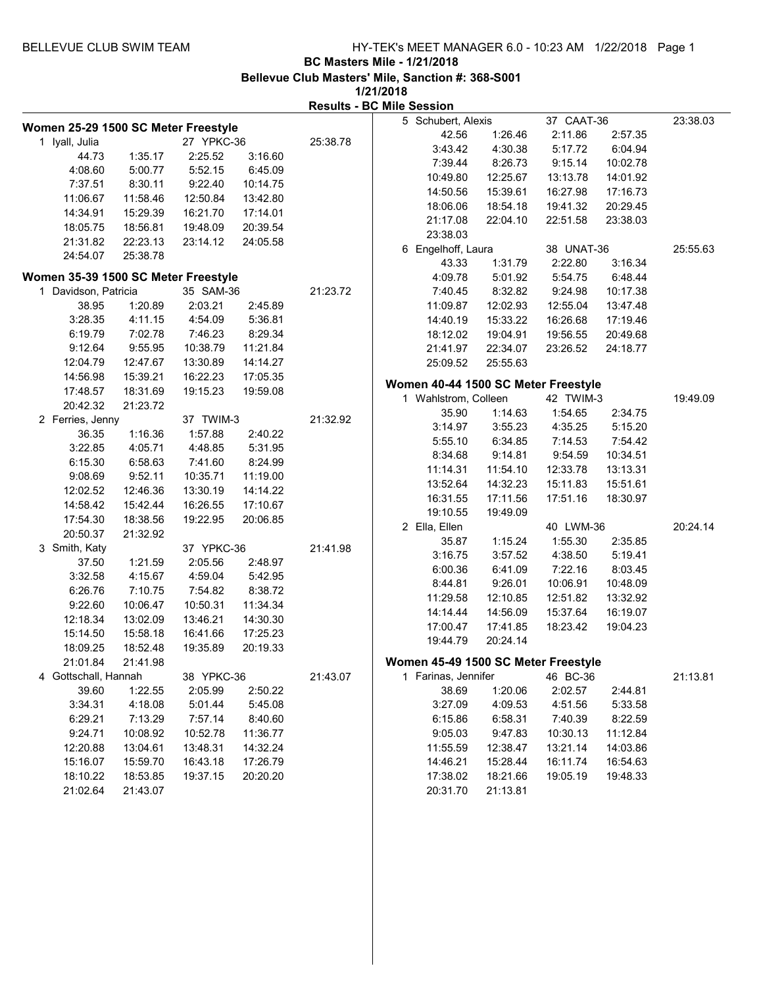**1/21/2018 Results - BC Mile Session**

|                      | Women 25-29 1500 SC Meter Freestyle |            |          |          | 5 Schubert, Alexis                  |          | 37 CAAT-36 |          | 23:38.03 |
|----------------------|-------------------------------------|------------|----------|----------|-------------------------------------|----------|------------|----------|----------|
| 1 Iyall, Julia       |                                     | 27 YPKC-36 |          | 25:38.78 | 42.56                               | 1:26.46  | 2:11.86    | 2:57.35  |          |
| 44.73                | 1:35.17                             | 2:25.52    | 3:16.60  |          | 3:43.42                             | 4:30.38  | 5:17.72    | 6:04.94  |          |
| 4:08.60              | 5:00.77                             | 5:52.15    | 6:45.09  |          | 7:39.44                             | 8:26.73  | 9:15.14    | 10:02.78 |          |
| 7:37.51              | 8:30.11                             | 9:22.40    | 10:14.75 |          | 10:49.80                            | 12:25.67 | 13:13.78   | 14:01.92 |          |
|                      | 11:58.46                            | 12:50.84   |          |          | 14:50.56                            | 15:39.61 | 16:27.98   | 17:16.73 |          |
| 11:06.67             |                                     |            | 13:42.80 |          | 18:06.06                            | 18:54.18 | 19:41.32   | 20:29.45 |          |
| 14:34.91             | 15:29.39                            | 16:21.70   | 17:14.01 |          | 21:17.08                            | 22:04.10 | 22:51.58   | 23:38.03 |          |
| 18:05.75             | 18:56.81                            | 19:48.09   | 20:39.54 |          | 23:38.03                            |          |            |          |          |
| 21:31.82             | 22:23.13                            | 23:14.12   | 24:05.58 |          | 6 Engelhoff, Laura                  |          | 38 UNAT-36 |          | 25:55.63 |
| 24:54.07             | 25:38.78                            |            |          |          | 43.33                               | 1:31.79  | 2:22.80    | 3:16.34  |          |
|                      | Women 35-39 1500 SC Meter Freestyle |            |          |          | 4:09.78                             | 5:01.92  | 5:54.75    | 6:48.44  |          |
| 1 Davidson, Patricia |                                     | 35 SAM-36  |          | 21:23.72 | 7:40.45                             | 8:32.82  | 9:24.98    | 10:17.38 |          |
| 38.95                | 1:20.89                             | 2:03.21    | 2:45.89  |          | 11:09.87                            | 12:02.93 | 12:55.04   | 13:47.48 |          |
| 3:28.35              | 4:11.15                             | 4:54.09    | 5:36.81  |          | 14:40.19                            | 15:33.22 | 16:26.68   | 17:19.46 |          |
| 6:19.79              | 7:02.78                             | 7:46.23    | 8:29.34  |          | 18:12.02                            | 19:04.91 | 19:56.55   | 20:49.68 |          |
| 9:12.64              | 9:55.95                             | 10:38.79   | 11:21.84 |          | 21:41.97                            | 22:34.07 | 23:26.52   | 24:18.77 |          |
| 12:04.79             | 12:47.67                            | 13:30.89   | 14:14.27 |          | 25:09.52                            | 25:55.63 |            |          |          |
| 14:56.98             | 15:39.21                            | 16:22.23   | 17:05.35 |          |                                     |          |            |          |          |
| 17:48.57             | 18:31.69                            | 19:15.23   | 19:59.08 |          | Women 40-44 1500 SC Meter Freestyle |          |            |          |          |
| 20:42.32             | 21:23.72                            |            |          |          | 1 Wahlstrom, Colleen                |          | 42 TWIM-3  |          | 19:49.09 |
| 2 Ferries, Jenny     |                                     | 37 TWIM-3  |          | 21:32.92 | 35.90                               | 1:14.63  | 1:54.65    | 2:34.75  |          |
| 36.35                | 1:16.36                             | 1:57.88    | 2:40.22  |          | 3:14.97                             | 3:55.23  | 4:35.25    | 5:15.20  |          |
| 3:22.85              | 4:05.71                             | 4:48.85    | 5:31.95  |          | 5:55.10                             | 6:34.85  | 7:14.53    | 7:54.42  |          |
| 6:15.30              | 6:58.63                             | 7:41.60    | 8:24.99  |          | 8:34.68                             | 9:14.81  | 9:54.59    | 10:34.51 |          |
| 9:08.69              | 9:52.11                             | 10:35.71   | 11:19.00 |          | 11:14.31                            | 11:54.10 | 12:33.78   | 13:13.31 |          |
| 12:02.52             | 12:46.36                            | 13:30.19   | 14:14.22 |          | 13:52.64                            | 14:32.23 | 15:11.83   | 15:51.61 |          |
| 14:58.42             | 15:42.44                            | 16:26.55   | 17:10.67 |          | 16:31.55                            | 17:11.56 | 17:51.16   | 18:30.97 |          |
| 17:54.30             | 18:38.56                            | 19:22.95   | 20:06.85 |          | 19:10.55                            | 19:49.09 |            |          |          |
| 20:50.37             | 21:32.92                            |            |          |          | 2 Ella, Ellen                       |          | 40 LWM-36  |          | 20:24.14 |
| 3 Smith, Katy        |                                     | 37 YPKC-36 |          | 21:41.98 | 35.87                               | 1:15.24  | 1:55.30    | 2:35.85  |          |
| 37.50                | 1:21.59                             | 2:05.56    | 2:48.97  |          | 3:16.75                             | 3:57.52  | 4:38.50    | 5:19.41  |          |
| 3:32.58              | 4:15.67                             | 4:59.04    | 5:42.95  |          | 6:00.36                             | 6:41.09  | 7:22.16    | 8:03.45  |          |
| 6:26.76              | 7:10.75                             | 7:54.82    | 8:38.72  |          | 8:44.81                             | 9:26.01  | 10:06.91   | 10:48.09 |          |
| 9:22.60              | 10:06.47                            | 10:50.31   | 11:34.34 |          | 11:29.58                            | 12:10.85 | 12:51.82   | 13:32.92 |          |
| 12:18.34             | 13:02.09                            | 13:46.21   | 14:30.30 |          | 14:14.44                            | 14:56.09 | 15:37.64   | 16:19.07 |          |
| 15:14.50             | 15:58.18                            | 16:41.66   | 17:25.23 |          | 17:00.47                            | 17:41.85 | 18:23.42   | 19:04.23 |          |
| 18:09.25             | 18:52.48                            | 19:35.89   | 20:19.33 |          | 19:44.79                            | 20:24.14 |            |          |          |
| 21:01.84             | 21:41.98                            |            |          |          | Women 45-49 1500 SC Meter Freestyle |          |            |          |          |
| 4 Gottschall, Hannah |                                     | 38 YPKC-36 |          | 21:43.07 | 1 Farinas, Jennifer                 |          | 46 BC-36   |          | 21:13.81 |
| 39.60                | 1:22.55                             | 2:05.99    | 2:50.22  |          | 38.69                               | 1:20.06  | 2:02.57    | 2:44.81  |          |
| 3:34.31              | 4:18.08                             | 5:01.44    | 5:45.08  |          | 3:27.09                             | 4:09.53  | 4:51.56    | 5:33.58  |          |
| 6:29.21              | 7:13.29                             | 7:57.14    | 8:40.60  |          | 6:15.86                             | 6:58.31  | 7:40.39    | 8:22.59  |          |
| 9:24.71              | 10:08.92                            | 10:52.78   | 11:36.77 |          | 9:05.03                             | 9:47.83  | 10:30.13   | 11:12.84 |          |
| 12:20.88             | 13:04.61                            | 13:48.31   | 14:32.24 |          | 11:55.59                            | 12:38.47 | 13:21.14   | 14:03.86 |          |
| 15:16.07             | 15:59.70                            | 16:43.18   | 17:26.79 |          | 14:46.21                            | 15:28.44 | 16:11.74   | 16:54.63 |          |
| 18:10.22             | 18:53.85                            | 19:37.15   | 20:20.20 |          | 17:38.02                            | 18:21.66 | 19:05.19   | 19:48.33 |          |
| 21:02.64             | 21:43.07                            |            |          |          | 20:31.70                            | 21:13.81 |            |          |          |
|                      |                                     |            |          |          |                                     |          |            |          |          |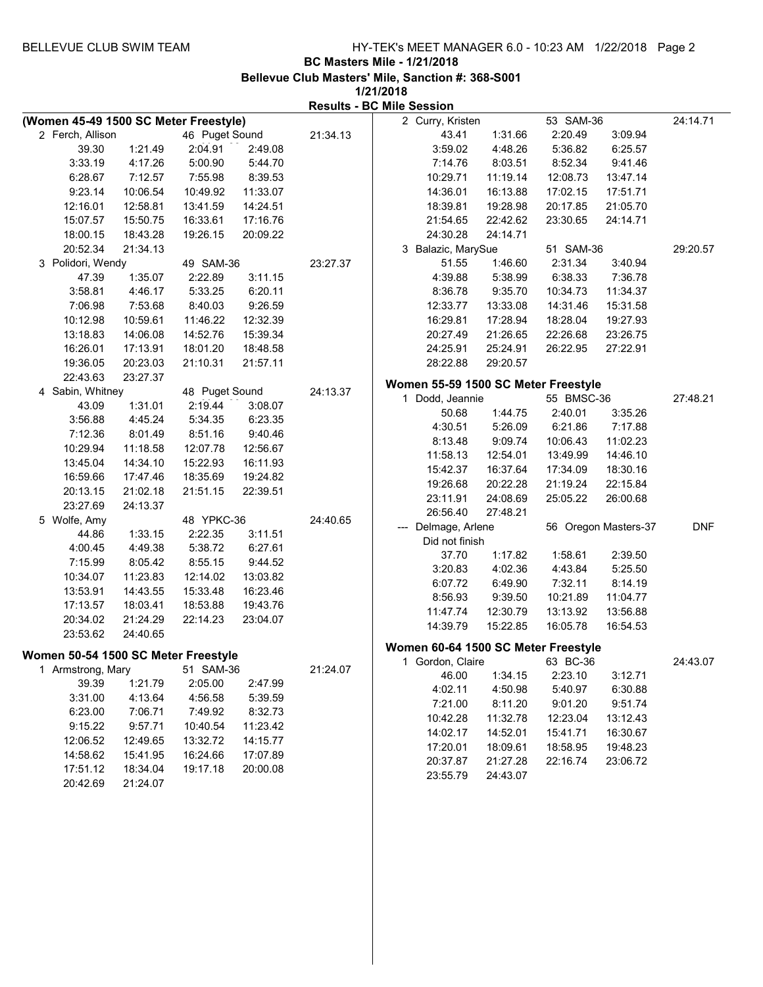|              |                   |          |                                       |          | <b>Results - BC Mile Session</b> |                                     |                    |            |                      |            |
|--------------|-------------------|----------|---------------------------------------|----------|----------------------------------|-------------------------------------|--------------------|------------|----------------------|------------|
|              |                   |          | (Women 45-49 1500 SC Meter Freestyle) |          |                                  | 2 Curry, Kristen                    |                    | 53 SAM-36  |                      | 24:14.71   |
|              | 2 Ferch, Allison  |          | 46 Puget Sound                        |          | 21:34.13                         | 43.41                               | 1:31.66            | 2:20.49    | 3:09.94              |            |
|              | 39.30             | 1:21.49  | 2:04.91                               | 2:49.08  |                                  | 3:59.02                             | 4:48.26            | 5:36.82    | 6:25.57              |            |
|              | 3:33.19           | 4:17.26  | 5:00.90                               | 5:44.70  |                                  | 7:14.76                             | 8:03.51            | 8:52.34    | 9:41.46              |            |
|              | 6:28.67           | 7:12.57  | 7:55.98                               | 8:39.53  |                                  | 10:29.71                            | 11:19.14           | 12:08.73   | 13:47.14             |            |
|              | 9:23.14           | 10:06.54 | 10:49.92                              | 11:33.07 |                                  | 14:36.01                            | 16:13.88           | 17:02.15   | 17:51.71             |            |
|              | 12:16.01          | 12:58.81 | 13:41.59                              | 14:24.51 |                                  | 18:39.81                            | 19:28.98           | 20:17.85   | 21:05.70             |            |
|              | 15:07.57          | 15:50.75 | 16:33.61                              | 17:16.76 |                                  | 21:54.65                            | 22:42.62           | 23:30.65   | 24:14.71             |            |
|              | 18:00.15          | 18:43.28 | 19:26.15                              | 20:09.22 |                                  | 24:30.28                            | 24:14.71           |            |                      |            |
|              | 20:52.34          | 21:34.13 |                                       |          |                                  | 3 Balazic, MarySue                  |                    | 51 SAM-36  |                      | 29:20.57   |
|              | 3 Polidori, Wendy |          | 49 SAM-36                             |          | 23:27.37                         | 51.55                               | 1:46.60            | 2:31.34    | 3:40.94              |            |
|              | 47.39             | 1:35.07  | 2:22.89                               | 3:11.15  |                                  | 4:39.88                             | 5:38.99            | 6:38.33    | 7:36.78              |            |
|              | 3:58.81           | 4:46.17  | 5:33.25                               | 6:20.11  |                                  | 8:36.78                             | 9:35.70            | 10:34.73   | 11:34.37             |            |
|              | 7:06.98           | 7:53.68  | 8:40.03                               | 9:26.59  |                                  | 12:33.77                            | 13:33.08           | 14:31.46   | 15:31.58             |            |
|              | 10:12.98          | 10:59.61 | 11:46.22                              | 12:32.39 |                                  | 16:29.81                            | 17:28.94           | 18:28.04   | 19:27.93             |            |
|              | 13:18.83          | 14:06.08 | 14:52.76                              | 15:39.34 |                                  | 20:27.49                            | 21:26.65           | 22:26.68   | 23:26.75             |            |
|              | 16:26.01          | 17:13.91 | 18:01.20                              | 18:48.58 |                                  | 24:25.91                            | 25:24.91           | 26:22.95   | 27:22.91             |            |
|              | 19:36.05          | 20:23.03 | 21:10.31                              | 21:57.11 |                                  | 28:22.88                            | 29:20.57           |            |                      |            |
|              | 22:43.63          | 23:27.37 |                                       |          |                                  |                                     |                    |            |                      |            |
|              | 4 Sabin, Whitney  |          | 48 Puget Sound                        |          | 24:13.37                         | Women 55-59 1500 SC Meter Freestyle |                    |            |                      |            |
|              | 43.09             | 1:31.01  | 2:19.44                               | 3:08.07  |                                  | 1 Dodd, Jeannie                     |                    | 55 BMSC-36 |                      | 27:48.21   |
|              | 3:56.88           | 4:45.24  | 5:34.35                               | 6:23.35  |                                  | 50.68                               | 1:44.75            | 2:40.01    | 3:35.26              |            |
|              | 7:12.36           | 8:01.49  | 8:51.16                               | 9:40.46  |                                  | 4:30.51                             | 5:26.09            | 6:21.86    | 7:17.88              |            |
|              | 10:29.94          | 11:18.58 | 12:07.78                              | 12:56.67 |                                  | 8:13.48                             | 9:09.74            | 10:06.43   | 11:02.23             |            |
|              | 13:45.04          | 14:34.10 | 15:22.93                              | 16:11.93 |                                  | 11:58.13                            | 12:54.01           | 13:49.99   | 14:46.10             |            |
|              | 16:59.66          | 17:47.46 | 18:35.69                              | 19:24.82 |                                  | 15:42.37                            | 16:37.64           | 17:34.09   | 18:30.16             |            |
|              | 20:13.15          | 21:02.18 | 21:51.15                              | 22:39.51 |                                  | 19:26.68                            | 20:22.28           | 21:19.24   | 22:15.84             |            |
|              | 23:27.69          | 24:13.37 |                                       |          |                                  | 23:11.91                            | 24:08.69           | 25:05.22   | 26:00.68             |            |
| 5 Wolfe, Amy |                   |          | 48 YPKC-36                            |          | 24:40.65                         | 26:56.40                            | 27:48.21           |            |                      |            |
|              | 44.86             | 1:33.15  | 2:22.35                               | 3:11.51  |                                  | --- Delmage, Arlene                 |                    |            | 56 Oregon Masters-37 | <b>DNF</b> |
|              | 4:00.45           | 4:49.38  | 5:38.72                               | 6:27.61  |                                  | Did not finish                      |                    |            |                      |            |
|              | 7:15.99           | 8:05.42  | 8:55.15                               | 9:44.52  |                                  | 37.70                               | 1:17.82            | 1:58.61    | 2:39.50              |            |
|              | 10:34.07          |          |                                       | 13:03.82 |                                  | 3:20.83                             | 4:02.36            | 4:43.84    | 5:25.50              |            |
|              |                   | 11:23.83 | 12:14.02                              |          |                                  | 6:07.72                             | 6:49.90            | 7:32.11    | 8:14.19              |            |
|              | 13:53.91          | 14:43.55 | 15:33.48                              | 16:23.46 |                                  | 8:56.93                             | 9:39.50            | 10:21.89   | 11:04.77             |            |
|              | 17:13.57          | 18:03.41 | 18:53.88                              | 19:43.76 |                                  | 11:47.74                            | 12:30.79           | 13:13.92   | 13:56.88             |            |
|              | 20:34.02          | 21:24.29 | 22:14.23                              | 23:04.07 |                                  | 14:39.79                            | 15:22.85           | 16:05.78   | 16:54.53             |            |
|              | 23:53.62          | 24:40.65 |                                       |          |                                  | Women 60-64 1500 SC Meter Freestyle |                    |            |                      |            |
|              |                   |          | Women 50-54 1500 SC Meter Freestyle   |          |                                  | 1 Gordon, Claire                    |                    | 63 BC-36   |                      | 24:43.07   |
|              | 1 Armstrong, Mary |          | 51 SAM-36                             |          | 21:24.07                         |                                     |                    | 2:23.10    | 3:12.71              |            |
|              | 39.39             | 1:21.79  | 2:05.00                               | 2:47.99  |                                  | 46.00<br>4:02.11                    | 1:34.15<br>4:50.98 | 5:40.97    | 6:30.88              |            |
|              | 3:31.00           | 4:13.64  | 4:56.58                               | 5:39.59  |                                  |                                     |                    |            |                      |            |
|              | 6:23.00           | 7:06.71  | 7:49.92                               | 8:32.73  |                                  | 7:21.00                             | 8:11.20            | 9:01.20    | 9:51.74              |            |
|              | 9:15.22           | 9:57.71  | 10:40.54                              | 11:23.42 |                                  | 10:42.28                            | 11:32.78           | 12:23.04   | 13:12.43             |            |
|              | 12:06.52          | 12:49.65 | 13:32.72                              | 14:15.77 |                                  | 14:02.17                            | 14:52.01           | 15:41.71   | 16:30.67             |            |
|              | 14:58.62          | 15:41.95 | 16:24.66                              | 17:07.89 |                                  | 17:20.01                            | 18:09.61           | 18:58.95   | 19:48.23             |            |
|              | 17:51.12          | 18:34.04 | 19:17.18                              | 20:00.08 |                                  | 20:37.87                            | 21:27.28           | 22:16.74   | 23:06.72             |            |
|              | 20:42.69          | 21:24.07 |                                       |          |                                  | 23:55.79                            | 24:43.07           |            |                      |            |
|              |                   |          |                                       |          |                                  |                                     |                    |            |                      |            |
|              |                   |          |                                       |          |                                  |                                     |                    |            |                      |            |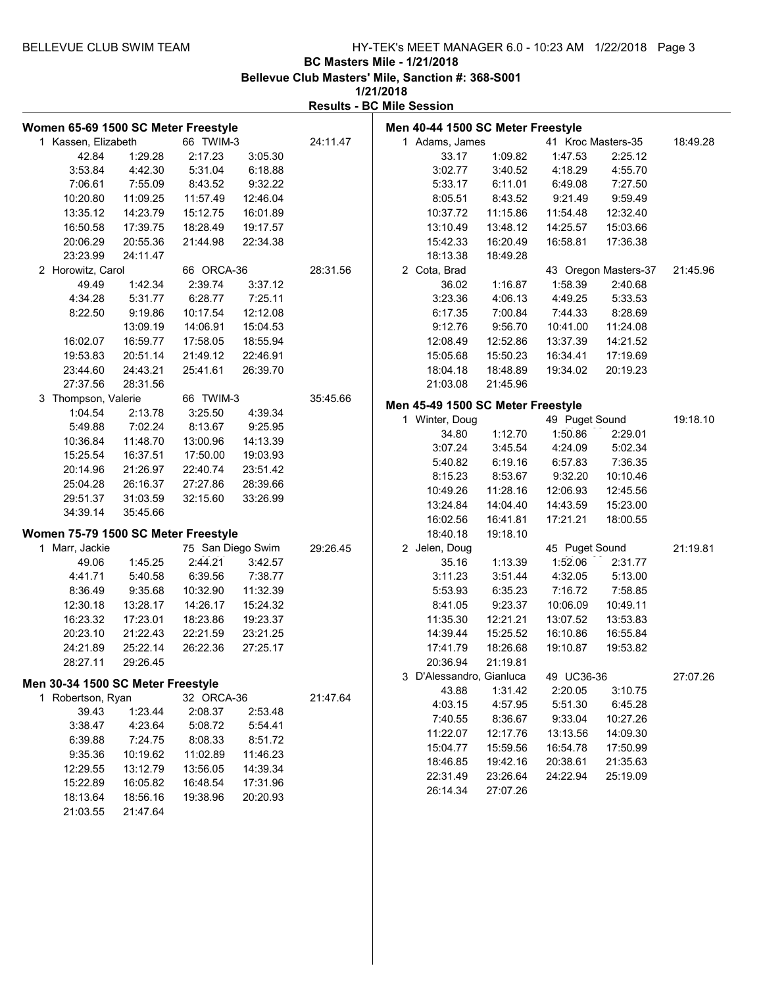**1/21/2018**

| Women 65-69 1500 SC Meter Freestyle |                                     |                   |                    |          | Men 40-44 1500 SC Meter Freestyle |                  |                          |                      |                      |          |
|-------------------------------------|-------------------------------------|-------------------|--------------------|----------|-----------------------------------|------------------|--------------------------|----------------------|----------------------|----------|
| 1 Kassen, Elizabeth                 |                                     | 66 TWIM-3         |                    | 24:11.47 | 1 Adams, James                    |                  |                          | 41 Kroc Masters-35   |                      | 18:49.28 |
| 42.84                               | 1:29.28                             | 2:17.23           | 3:05.30            |          |                                   | 33.17            | 1:09.82                  | 1:47.53              | 2:25.12              |          |
| 3:53.84                             | 4:42.30                             | 5:31.04           | 6:18.88            |          |                                   | 3:02.77          | 3:40.52                  | 4:18.29              | 4:55.70              |          |
| 7:06.61                             | 7:55.09                             | 8:43.52           | 9:32.22            |          |                                   | 5:33.17          | 6:11.01                  | 6:49.08              | 7:27.50              |          |
| 10:20.80                            | 11:09.25                            | 11:57.49          | 12:46.04           |          |                                   | 8:05.51          | 8:43.52                  | 9:21.49              | 9:59.49              |          |
| 13:35.12                            | 14:23.79                            | 15:12.75          | 16:01.89           |          |                                   | 10:37.72         | 11:15.86                 | 11:54.48             | 12:32.40             |          |
| 16:50.58                            | 17:39.75                            | 18:28.49          | 19:17.57           |          |                                   | 13:10.49         | 13:48.12                 | 14:25.57             | 15:03.66             |          |
| 20:06.29                            | 20:55.36                            | 21:44.98          | 22:34.38           |          |                                   | 15:42.33         | 16:20.49                 | 16:58.81             | 17:36.38             |          |
| 23:23.99                            | 24:11.47                            |                   |                    |          |                                   | 18:13.38         | 18:49.28                 |                      |                      |          |
| 2 Horowitz, Carol                   |                                     | 66 ORCA-36        |                    | 28:31.56 | 2 Cota, Brad                      |                  |                          |                      | 43 Oregon Masters-37 | 21:45.96 |
| 49.49                               | 1:42.34                             | 2:39.74           | 3:37.12            |          |                                   | 36.02            | 1:16.87                  | 1:58.39              | 2:40.68              |          |
| 4:34.28                             | 5:31.77                             | 6:28.77           | 7:25.11            |          |                                   | 3:23.36          | 4:06.13                  | 4:49.25              | 5:33.53              |          |
| 8:22.50                             | 9:19.86                             | 10:17.54          | 12:12.08           |          |                                   | 6:17.35          | 7:00.84                  | 7:44.33              | 8:28.69              |          |
|                                     | 13:09.19                            | 14:06.91          | 15:04.53           |          |                                   | 9:12.76          | 9:56.70                  | 10:41.00             | 11:24.08             |          |
| 16:02.07                            | 16:59.77                            | 17:58.05          | 18:55.94           |          |                                   | 12:08.49         | 12:52.86                 | 13:37.39             | 14:21.52             |          |
| 19:53.83                            | 20:51.14                            | 21:49.12          | 22:46.91           |          |                                   | 15:05.68         | 15:50.23                 | 16:34.41             | 17:19.69             |          |
| 23:44.60                            | 24:43.21                            | 25:41.61          | 26:39.70           |          |                                   | 18:04.18         | 18:48.89                 | 19:34.02             | 20:19.23             |          |
| 27:37.56                            | 28:31.56                            |                   |                    |          |                                   | 21:03.08         | 21:45.96                 |                      |                      |          |
| 3 Thompson, Valerie                 |                                     | 66 TWIM-3         |                    | 35:45.66 |                                   |                  |                          |                      |                      |          |
| 1:04.54                             | 2:13.78                             | 3:25.50           | 4:39.34            |          | Men 45-49 1500 SC Meter Freestyle |                  |                          |                      |                      |          |
| 5:49.88                             | 7:02.24                             | 8:13.67           | 9:25.95            |          | 1 Winter, Doug                    |                  |                          | 49 Puget Sound       |                      | 19:18.10 |
| 10:36.84                            | 11:48.70                            | 13:00.96          | 14:13.39           |          |                                   | 34.80            | 1:12.70                  | 1:50.86              | 2:29.01              |          |
| 15:25.54                            | 16:37.51                            | 17:50.00          | 19:03.93           |          |                                   | 3:07.24          | 3:45.54                  | 4:24.09              | 5:02.34              |          |
| 20:14.96                            | 21:26.97                            | 22:40.74          | 23:51.42           |          |                                   | 5:40.82          | 6:19.16                  | 6:57.83              | 7:36.35              |          |
| 25:04.28                            | 26:16.37                            | 27:27.86          | 28:39.66           |          |                                   | 8:15.23          | 8:53.67                  | 9:32.20              | 10:10.46             |          |
| 29:51.37                            | 31:03.59                            | 32:15.60          | 33:26.99           |          |                                   | 10:49.26         | 11:28.16                 | 12:06.93             | 12:45.56             |          |
| 34:39.14                            | 35:45.66                            |                   |                    |          |                                   | 13:24.84         | 14:04.40                 | 14:43.59             | 15:23.00             |          |
|                                     |                                     |                   |                    |          |                                   | 16:02.56         | 16:41.81                 | 17:21.21             | 18:00.55             |          |
|                                     | Women 75-79 1500 SC Meter Freestyle |                   |                    |          |                                   | 18:40.18         | 19:18.10                 |                      |                      |          |
| 1 Marr, Jackie                      |                                     | 75 San Diego Swim |                    | 29:26.45 | 2 Jelen, Doug                     |                  |                          | 45 Puget Sound       |                      | 21:19.81 |
| 49.06<br>4:41.71                    | 1:45.25                             | 2:44.21           | 3:42.57<br>7:38.77 |          |                                   | 35.16<br>3:11.23 | 1:13.39<br>3:51.44       | 1:52.06<br>4:32.05   | 2:31.77              |          |
| 8:36.49                             | 5:40.58                             | 6:39.56           |                    |          |                                   |                  | 6:35.23                  | 7:16.72              | 5:13.00              |          |
|                                     | 9:35.68                             | 10:32.90          | 11:32.39           |          |                                   | 5:53.93          |                          |                      | 7:58.85              |          |
| 12:30.18                            | 13:28.17                            | 14:26.17          | 15:24.32           |          |                                   | 8:41.05          | 9:23.37<br>12:21.21      | 10:06.09<br>13:07.52 | 10:49.11             |          |
| 16:23.32                            | 17:23.01                            | 18:23.86          | 19:23.37           |          |                                   | 11:35.30         |                          |                      | 13:53.83             |          |
| 20:23.10                            | 21:22.43                            | 22:21.59          | 23:21.25           |          |                                   | 14:39.44         | 15:25.52                 | 16:10.86             | 16:55.84             |          |
| 24:21.89                            | 25:22.14                            | 26:22.36          | 27:25.17           |          |                                   | 17:41.79         | 18:26.68                 | 19:10.87             | 19:53.82             |          |
| 28:27.11                            | 29:26.45                            |                   |                    |          |                                   | 20:36.94         | 21:19.81                 |                      |                      |          |
|                                     | Men 30-34 1500 SC Meter Freestyle   |                   |                    |          |                                   |                  | 3 D'Alessandro, Gianluca | 49 UC36-36           |                      | 27:07.26 |
| 1 Robertson, Ryan                   |                                     | 32 ORCA-36        |                    | 21:47.64 |                                   | 43.88            | 1:31.42                  | 2:20.05              | 3:10.75              |          |
| 39.43                               | 1:23.44                             | 2:08.37           | 2:53.48            |          |                                   | 4:03.15          | 4:57.95                  | 5:51.30              | 6:45.28              |          |
| 3:38.47                             | 4:23.64                             | 5:08.72           | 5:54.41            |          |                                   | 7:40.55          | 8:36.67                  | 9:33.04              | 10:27.26             |          |
| 6:39.88                             | 7:24.75                             | 8:08.33           | 8:51.72            |          |                                   | 11:22.07         | 12:17.76                 | 13:13.56             | 14:09.30             |          |
| 9:35.36                             | 10:19.62                            | 11:02.89          | 11:46.23           |          |                                   | 15:04.77         | 15:59.56                 | 16:54.78             | 17:50.99             |          |
| 12:29.55                            | 13:12.79                            | 13:56.05          | 14:39.34           |          |                                   | 18:46.85         | 19:42.16                 | 20:38.61             | 21:35.63             |          |
| 15:22.89                            | 16:05.82                            | 16:48.54          | 17:31.96           |          |                                   | 22:31.49         | 23:26.64                 | 24:22.94             | 25:19.09             |          |
| 18:13.64                            | 18:56.16                            | 19:38.96          | 20:20.93           |          |                                   | 26:14.34         | 27:07.26                 |                      |                      |          |
| 21:03.55                            | 21:47.64                            |                   |                    |          |                                   |                  |                          |                      |                      |          |
|                                     |                                     |                   |                    |          |                                   |                  |                          |                      |                      |          |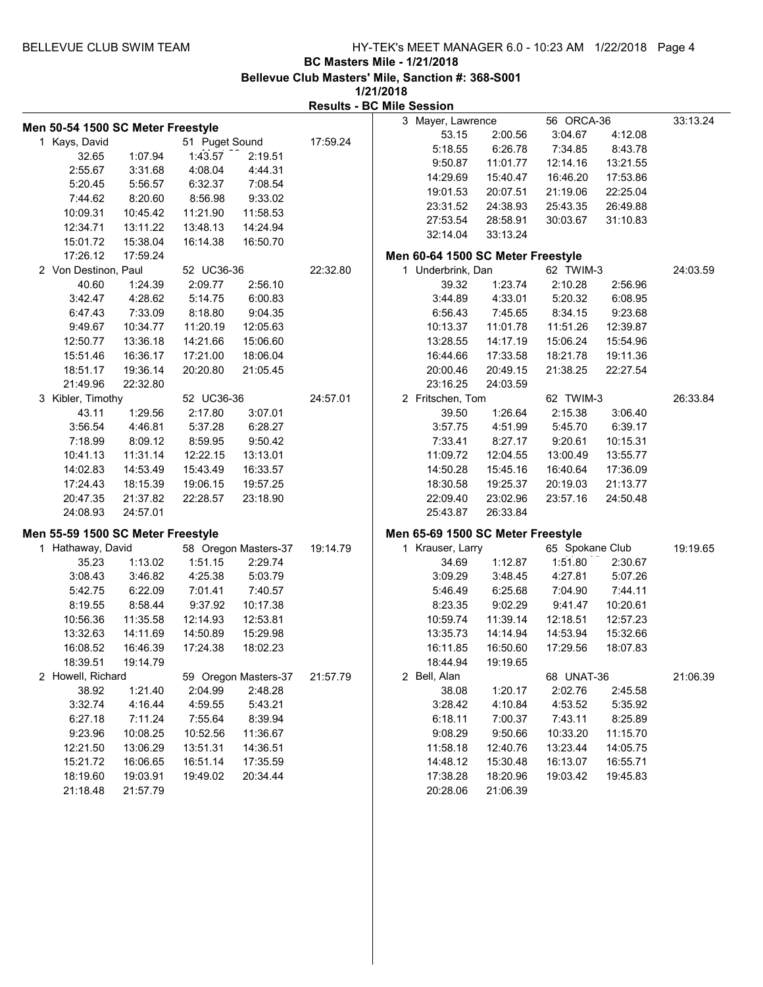| Men 50-54 1500 SC Meter Freestyle |          |                |                      |          | 3 Mayer, Lawrence                 |          | 56 ORCA-36      |          | 33:13.24 |
|-----------------------------------|----------|----------------|----------------------|----------|-----------------------------------|----------|-----------------|----------|----------|
| 1 Kays, David                     |          | 51 Puget Sound |                      | 17:59.24 | 53.15                             | 2:00.56  | 3:04.67         | 4:12.08  |          |
| 32.65                             | 1:07.94  | 1:43.57        | 2:19.51              |          | 5:18.55                           | 6:26.78  | 7:34.85         | 8:43.78  |          |
| 2:55.67                           | 3:31.68  | 4:08.04        | 4:44.31              |          | 9:50.87                           | 11:01.77 | 12:14.16        | 13:21.55 |          |
| 5:20.45                           | 5:56.57  | 6:32.37        | 7:08.54              |          | 14:29.69                          | 15:40.47 | 16:46.20        | 17:53.86 |          |
| 7:44.62                           | 8:20.60  | 8:56.98        | 9:33.02              |          | 19:01.53                          | 20:07.51 | 21:19.06        | 22:25.04 |          |
| 10:09.31                          | 10:45.42 | 11:21.90       | 11:58.53             |          | 23:31.52                          | 24:38.93 | 25:43.35        | 26:49.88 |          |
| 12:34.71                          |          | 13:48.13       |                      |          | 27:53.54                          | 28:58.91 | 30:03.67        | 31:10.83 |          |
|                                   | 13:11.22 |                | 14:24.94             |          | 32:14.04                          | 33:13.24 |                 |          |          |
| 15:01.72                          | 15:38.04 | 16:14.38       | 16:50.70             |          |                                   |          |                 |          |          |
| 17:26.12                          | 17:59.24 |                |                      |          | Men 60-64 1500 SC Meter Freestyle |          |                 |          |          |
| 2 Von Destinon, Paul              |          | 52 UC36-36     |                      | 22:32.80 | 1 Underbrink, Dan                 |          | 62 TWIM-3       |          | 24:03.59 |
| 40.60                             | 1:24.39  | 2:09.77        | 2:56.10              |          | 39.32                             | 1:23.74  | 2:10.28         | 2:56.96  |          |
| 3:42.47                           | 4:28.62  | 5:14.75        | 6:00.83              |          | 3:44.89                           | 4:33.01  | 5:20.32         | 6:08.95  |          |
| 6:47.43                           | 7:33.09  | 8:18.80        | 9:04.35              |          | 6:56.43                           | 7:45.65  | 8:34.15         | 9:23.68  |          |
| 9:49.67                           | 10:34.77 | 11:20.19       | 12:05.63             |          | 10:13.37                          | 11:01.78 | 11:51.26        | 12:39.87 |          |
| 12:50.77                          | 13:36.18 | 14:21.66       | 15:06.60             |          | 13:28.55                          | 14:17.19 | 15:06.24        | 15:54.96 |          |
| 15:51.46                          | 16:36.17 | 17:21.00       | 18:06.04             |          | 16:44.66                          | 17:33.58 | 18:21.78        | 19:11.36 |          |
| 18:51.17                          | 19:36.14 | 20:20.80       | 21:05.45             |          | 20:00.46                          | 20:49.15 | 21:38.25        | 22:27.54 |          |
| 21:49.96                          | 22:32.80 |                |                      |          | 23:16.25                          | 24:03.59 |                 |          |          |
| 3 Kibler, Timothy                 |          | 52 UC36-36     |                      | 24:57.01 | 2 Fritschen, Tom                  |          | 62 TWIM-3       |          | 26:33.84 |
| 43.11                             | 1:29.56  | 2:17.80        | 3:07.01              |          | 39.50                             | 1:26.64  | 2:15.38         | 3:06.40  |          |
| 3:56.54                           | 4:46.81  | 5:37.28        | 6:28.27              |          | 3:57.75                           | 4:51.99  | 5:45.70         | 6:39.17  |          |
| 7:18.99                           | 8:09.12  | 8:59.95        | 9:50.42              |          | 7:33.41                           | 8:27.17  | 9:20.61         | 10:15.31 |          |
| 10:41.13                          | 11:31.14 | 12:22.15       | 13:13.01             |          | 11:09.72                          | 12:04.55 | 13:00.49        | 13:55.77 |          |
| 14:02.83                          | 14:53.49 | 15:43.49       | 16:33.57             |          | 14:50.28                          | 15:45.16 | 16:40.64        | 17:36.09 |          |
| 17:24.43                          | 18:15.39 | 19:06.15       | 19:57.25             |          | 18:30.58                          | 19:25.37 | 20:19.03        | 21:13.77 |          |
| 20:47.35                          | 21:37.82 | 22:28.57       | 23:18.90             |          | 22:09.40                          | 23:02.96 | 23:57.16        | 24:50.48 |          |
| 24:08.93                          | 24:57.01 |                |                      |          | 25:43.87                          | 26:33.84 |                 |          |          |
|                                   |          |                |                      |          |                                   |          |                 |          |          |
| Men 55-59 1500 SC Meter Freestyle |          |                |                      |          | Men 65-69 1500 SC Meter Freestyle |          | 65 Spokane Club |          |          |
| 1 Hathaway, David                 |          |                | 58 Oregon Masters-37 | 19:14.79 | 1 Krauser, Larry                  |          |                 |          | 19:19.65 |
| 35.23                             | 1:13.02  | 1:51.15        | 2:29.74              |          | 34.69                             | 1:12.87  | 1:51.80         | 2:30.67  |          |
| 3:08.43                           | 3:46.82  | 4:25.38        | 5:03.79              |          | 3:09.29                           | 3:48.45  | 4:27.81         | 5:07.26  |          |
| 5:42.75                           | 6:22.09  | 7:01.41        | 7:40.57              |          | 5:46.49                           | 6:25.68  | 7:04.90         | 7:44.11  |          |
| 8:19.55                           | 8:58.44  | 9:37.92        | 10:17.38             |          | 8:23.35                           | 9:02.29  | 9:41.47         | 10:20.61 |          |
| 10:56.36                          | 11:35.58 | 12:14.93       | 12:53.81             |          | 10:59.74                          | 11:39.14 | 12:18.51        | 12:57.23 |          |
| 13:32.63                          | 14:11.69 | 14:50.89       | 15:29.98             |          | 13:35.73                          | 14:14.94 | 14:53.94        | 15:32.66 |          |
| 16:08.52                          | 16:46.39 | 17:24.38       | 18:02.23             |          | 16:11.85                          | 16:50.60 | 17:29.56        | 18:07.83 |          |
| 18:39.51                          | 19:14.79 |                |                      |          | 18:44.94                          | 19:19.65 |                 |          |          |
| 2 Howell, Richard                 |          |                | 59 Oregon Masters-37 | 21:57.79 | 2 Bell, Alan                      |          | 68 UNAT-36      |          | 21:06.39 |
| 38.92                             | 1:21.40  | 2:04.99        | 2:48.28              |          | 38.08                             | 1:20.17  | 2:02.76         | 2:45.58  |          |
| 3:32.74                           | 4:16.44  | 4:59.55        | 5:43.21              |          | 3:28.42                           | 4:10.84  | 4:53.52         | 5:35.92  |          |
| 6:27.18                           | 7:11.24  | 7:55.64        | 8:39.94              |          | 6:18.11                           | 7:00.37  | 7:43.11         | 8:25.89  |          |
| 9:23.96                           | 10:08.25 | 10:52.56       | 11:36.67             |          | 9:08.29                           | 9:50.66  | 10:33.20        | 11:15.70 |          |
| 12:21.50                          | 13:06.29 | 13:51.31       | 14:36.51             |          | 11:58.18                          | 12:40.76 | 13:23.44        | 14:05.75 |          |
| 15:21.72                          | 16:06.65 | 16:51.14       | 17:35.59             |          | 14:48.12                          | 15:30.48 | 16:13.07        | 16:55.71 |          |
| 18:19.60                          | 19:03.91 | 19:49.02       | 20:34.44             |          | 17:38.28                          | 18:20.96 | 19:03.42        | 19:45.83 |          |
| 21:18.48                          | 21:57.79 |                |                      |          | 20:28.06                          | 21:06.39 |                 |          |          |
|                                   |          |                |                      |          |                                   |          |                 |          |          |